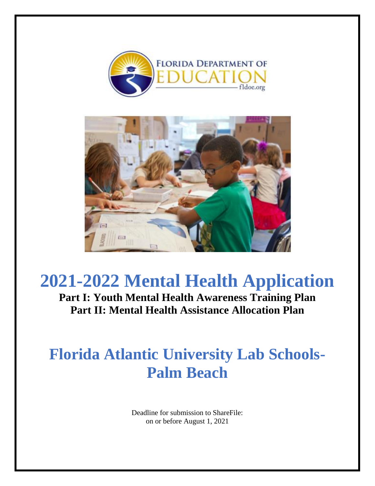



**Part I: Youth Mental Health Awareness Training Plan Part II: Mental Health Assistance Allocation Plan**

# **Florida Atlantic University Lab Schools-Palm Beach**

Deadline for submission to ShareFile: on or before August 1, 2021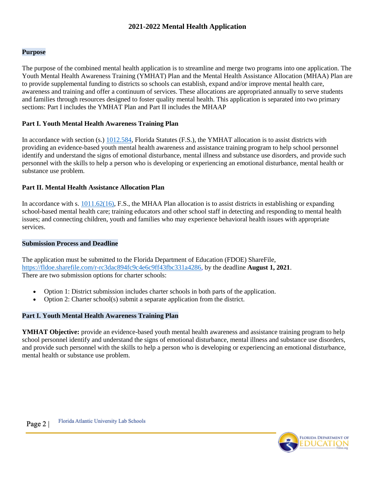### **Purpose**

The purpose of the combined mental health application is to streamline and merge two programs into one application. The Youth Mental Health Awareness Training (YMHAT) Plan and the Mental Health Assistance Allocation (MHAA) Plan are to provide supplemental funding to districts so schools can establish, expand and/or improve mental health care, awareness and training and offer a continuum of services. These allocations are appropriated annually to serve students and families through resources designed to foster quality mental health. This application is separated into two primary sections: Part I includes the YMHAT Plan and Part II includes the MHAAP

#### **Part I. Youth Mental Health Awareness Training Plan**

In accordance with section (s.) [1012.584,](http://www.leg.state.fl.us/Statutes/index.cfm?App_mode=Display_Statute&Search_String=&URL=1000-1099/1012/Sections/1012.584.html) Florida Statutes (F.S.), the YMHAT allocation is to assist districts with providing an evidence-based youth mental health awareness and assistance training program to help school personnel identify and understand the signs of emotional disturbance, mental illness and substance use disorders, and provide such personnel with the skills to help a person who is developing or experiencing an emotional disturbance, mental health or substance use problem.

#### **Part II. Mental Health Assistance Allocation Plan**

In accordance with s.  $1011.62(16)$ , F.S., the MHAA Plan allocation is to assist districts in establishing or expanding school-based mental health care; training educators and other school staff in detecting and responding to mental health issues; and connecting children, youth and families who may experience behavioral health issues with appropriate services.

#### **Submission Process and Deadline**

The application must be submitted to the Florida Department of Education (FDOE) ShareFile, [https://fldoe.sharefile.com/r-rc3dac894fc9c4e6c9ff43fbc331a4286,](https://fldoe.sharefile.com/r-rc3dac894fc9c4e6c9ff43fbc331a4286) by the deadline **August 1, 2021**. There are two submission options for charter schools:

- Option 1: District submission includes charter schools in both parts of the application.
- Option 2: Charter school(s) submit a separate application from the district.

## **Part I. Youth Mental Health Awareness Training Plan**

**YMHAT Objective:** provide an evidence-based youth mental health awareness and assistance training program to help school personnel identify and understand the signs of emotional disturbance, mental illness and substance use disorders, and provide such personnel with the skills to help a person who is developing or experiencing an emotional disturbance, mental health or substance use problem.

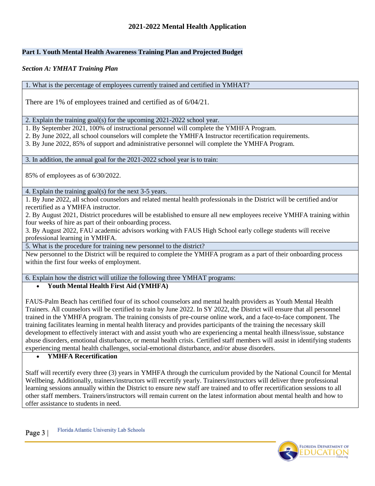# **Part I. Youth Mental Health Awareness Training Plan and Projected Budget**

## *Section A: YMHAT Training Plan*

1. What is the percentage of employees currently trained and certified in YMHAT?

There are 1% of employees trained and certified as of 6/04/21.

2. Explain the training goal(s) for the upcoming 2021-2022 school year.

1. By September 2021, 100% of instructional personnel will complete the YMHFA Program.

2. By June 2022, all school counselors will complete the YMHFA Instructor recertification requirements.

3. By June 2022, 85% of support and administrative personnel will complete the YMHFA Program.

3. In addition, the annual goal for the 2021-2022 school year is to train:

85% of employees as of 6/30/2022.

4. Explain the training goal(s) for the next 3-5 years.

1. By June 2022, all school counselors and related mental health professionals in the District will be certified and/or recertified as a YMHFA instructor.

2. By August 2021, District procedures will be established to ensure all new employees receive YMHFA training within four weeks of hire as part of their onboarding process.

3. By August 2022, FAU academic advisors working with FAUS High School early college students will receive professional learning in YMHFA.

5. What is the procedure for training new personnel to the district?

New personnel to the District will be required to complete the YMHFA program as a part of their onboarding process within the first four weeks of employment.

6. Explain how the district will utilize the following three YMHAT programs:

## **Youth Mental Health First Aid (YMHFA)**

FAUS-Palm Beach has certified four of its school counselors and mental health providers as Youth Mental Health Trainers. All counselors will be certified to train by June 2022. In SY 2022, the District will ensure that all personnel trained in the YMHFA program. The training consists of pre-course online work, and a face-to-face component. The training facilitates learning in mental health literacy and provides participants of the training the necessary skill development to effectively interact with and assist youth who are experiencing a mental health illness/issue, substance abuse disorders, emotional disturbance, or mental health crisis. Certified staff members will assist in identifying students experiencing mental health challenges, social-emotional disturbance, and/or abuse disorders.

**YMHFA Recertification** 

Staff will recertify every three (3) years in YMHFA through the curriculum provided by the National Council for Mental Wellbeing. Additionally, trainers/instructors will recertify yearly. Trainers/instructors will deliver three professional learning sessions annually within the District to ensure new staff are trained and to offer recertification sessions to all other staff members. Trainers/instructors will remain current on the latest information about mental health and how to offer assistance to students in need.

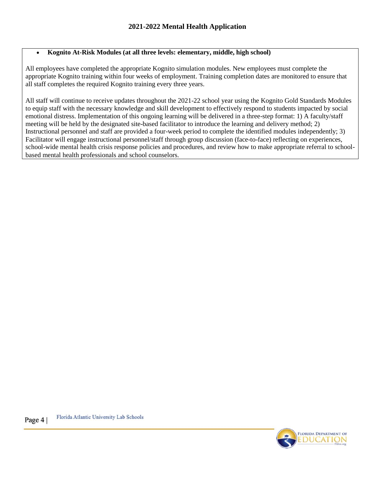# **Kognito At-Risk Modules (at all three levels: elementary, middle, high school)**

All employees have completed the appropriate Kognito simulation modules. New employees must complete the appropriate Kognito training within four weeks of employment. Training completion dates are monitored to ensure that all staff completes the required Kognito training every three years.

All staff will continue to receive updates throughout the 2021-22 school year using the Kognito Gold Standards Modules to equip staff with the necessary knowledge and skill development to effectively respond to students impacted by social emotional distress. Implementation of this ongoing learning will be delivered in a three-step format: 1) A faculty/staff meeting will be held by the designated site-based facilitator to introduce the learning and delivery method; 2) Instructional personnel and staff are provided a four-week period to complete the identified modules independently; 3) Facilitator will engage instructional personnel/staff through group discussion (face-to-face) reflecting on experiences, school-wide mental health crisis response policies and procedures, and review how to make appropriate referral to schoolbased mental health professionals and school counselors.

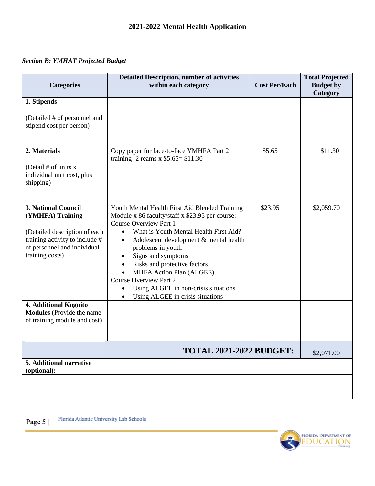# *Section B: YMHAT Projected Budget*

| <b>Categories</b>                                                                                                                                            | <b>Detailed Description, number of activities</b><br>within each category                                                                                                                                                                                                                                                                                                                                                                                                                           | <b>Cost Per/Each</b> | <b>Total Projected</b><br><b>Budget</b> by |
|--------------------------------------------------------------------------------------------------------------------------------------------------------------|-----------------------------------------------------------------------------------------------------------------------------------------------------------------------------------------------------------------------------------------------------------------------------------------------------------------------------------------------------------------------------------------------------------------------------------------------------------------------------------------------------|----------------------|--------------------------------------------|
|                                                                                                                                                              |                                                                                                                                                                                                                                                                                                                                                                                                                                                                                                     |                      | Category                                   |
| 1. Stipends<br>(Detailed # of personnel and<br>stipend cost per person)                                                                                      |                                                                                                                                                                                                                                                                                                                                                                                                                                                                                                     |                      |                                            |
| 2. Materials<br>(Detail $#$ of units x<br>individual unit cost, plus<br>shipping)                                                                            | Copy paper for face-to-face YMHFA Part 2<br>training- 2 reams $x$ \$5.65= \$11.30                                                                                                                                                                                                                                                                                                                                                                                                                   | \$5.65               | \$11.30                                    |
| 3. National Council<br>(YMHFA) Training<br>(Detailed description of each<br>training activity to include #<br>of personnel and individual<br>training costs) | Youth Mental Health First Aid Blended Training<br>Module x 86 faculty/staff x \$23.95 per course:<br><b>Course Overview Part 1</b><br>What is Youth Mental Health First Aid?<br>$\bullet$<br>Adolescent development & mental health<br>$\bullet$<br>problems in youth<br>Signs and symptoms<br>٠<br>Risks and protective factors<br>$\bullet$<br>MHFA Action Plan (ALGEE)<br><b>Course Overview Part 2</b><br>Using ALGEE in non-crisis situations<br>Using ALGEE in crisis situations<br>$\bullet$ | \$23.95              | \$2,059.70                                 |
| 4. Additional Kognito<br><b>Modules</b> (Provide the name<br>of training module and cost)                                                                    |                                                                                                                                                                                                                                                                                                                                                                                                                                                                                                     |                      |                                            |
|                                                                                                                                                              | <b>TOTAL 2021-2022 BUDGET:</b>                                                                                                                                                                                                                                                                                                                                                                                                                                                                      |                      | \$2,071.00                                 |
| 5. Additional narrative<br>(optional):                                                                                                                       |                                                                                                                                                                                                                                                                                                                                                                                                                                                                                                     |                      |                                            |
|                                                                                                                                                              |                                                                                                                                                                                                                                                                                                                                                                                                                                                                                                     |                      |                                            |

Florida Atlantic University Lab Schools Page 5 |

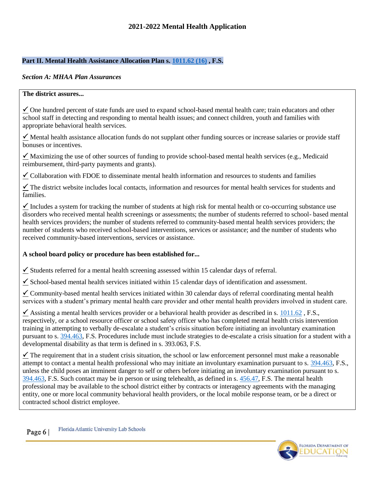## **Part II. Mental Health Assistance Allocation Plan s. [1011.62 \(16\)](http://www.leg.state.fl.us/Statutes/index.cfm?App_mode=Display_Statute&Search_String=&URL=1000-1099/1011/Sections/1011.62.html) , F.S.**

#### *Section A: MHAA Plan Assurances*

#### **The district assures...**

 $\checkmark$  One hundred percent of state funds are used to expand school-based mental health care; train educators and other school staff in detecting and responding to mental health issues; and connect children, youth and families with appropriate behavioral health services.

 $\checkmark$  Mental health assistance allocation funds do not supplant other funding sources or increase salaries or provide staff bonuses or incentives.

 $\checkmark$  Maximizing the use of other sources of funding to provide school-based mental health services (e.g., Medicaid reimbursement, third-party payments and grants).

 $\checkmark$  Collaboration with FDOE to disseminate mental health information and resources to students and families

 $\checkmark$  The district website includes local contacts, information and resources for mental health services for students and families.

 $\checkmark$  Includes a system for tracking the number of students at high risk for mental health or co-occurring substance use disorders who received mental health screenings or assessments; the number of students referred to school- based mental health services providers; the number of students referred to community-based mental health services providers; the number of students who received school-based interventions, services or assistance; and the number of students who received community-based interventions, services or assistance.

## **A school board policy or procedure has been established for...**

 $\checkmark$  Students referred for a mental health screening assessed within 15 calendar days of referral.

 $\checkmark$  School-based mental health services initiated within 15 calendar days of identification and assessment.

 $\leq$  Community-based mental health services initiated within 30 calendar days of referral coordinating mental health services with a student's primary mental health care provider and other mental health providers involved in student care.

Assisting a mental health services provider or a behavioral health provider as described in s.  $1011.62$ , F.S., respectively, or a school resource officer or school safety officer who has completed mental health crisis intervention training in attempting to verbally de-escalate a student's crisis situation before initiating an involuntary examination pursuant to s. [394.463,](http://www.leg.state.fl.us/statutes/index.cfm?App_mode=Display_Statute&URL=0300-0399/0394/Sections/0394.463.html) F.S. Procedures include must include strategies to de-escalate a crisis situation for a student with a developmental disability as that term is defined in s. 393.063, F.S.

 $\checkmark$  The requirement that in a student crisis situation, the school or law enforcement personnel must make a reasonable attempt to contact a mental health professional who may initiate an involuntary examination pursuant to s. [394.463,](http://www.leg.state.fl.us/statutes/index.cfm?App_mode=Display_Statute&URL=0300-0399/0394/Sections/0394.463.html) F.S., unless the child poses an imminent danger to self or others before initiating an involuntary examination pursuant to s. [394.463,](http://www.leg.state.fl.us/statutes/index.cfm?App_mode=Display_Statute&URL=0300-0399/0394/Sections/0394.463.html) F.S. Such contact may be in person or using telehealth, as defined in s. [456.47,](http://www.leg.state.fl.us/statutes/index.cfm?mode=View%20Statutes&SubMenu=1&App_mode=Display_Statute&Search_String=456.47,+F.S&URL=0400-0499/0456/Sections/0456.47.html) F.S. The mental health professional may be available to the school district either by contracts or interagency agreements with the managing entity, one or more local community behavioral health providers, or the local mobile response team, or be a direct or contracted school district employee.

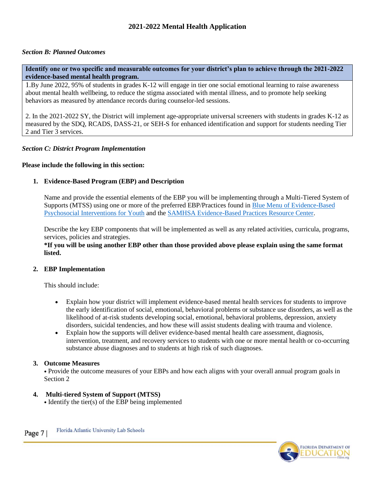# *Section B: Planned Outcomes*

**Identify one or two specific and measurable outcomes for your district's plan to achieve through the 2021-2022 evidence-based mental health program.** 

1.By June 2022, 95% of students in grades K-12 will engage in tier one social emotional learning to raise awareness about mental health wellbeing, to reduce the stigma associated with mental illness, and to promote help seeking behaviors as measured by attendance records during counselor-led sessions.

2. In the 2021-2022 SY, the District will implement age-appropriate universal screeners with students in grades K-12 as measured by the SDQ, RCADS, DASS-21, or SEH-S for enhanced identification and support for students needing Tier 2 and Tier 3 services.

#### *Section C: District Program Implementation*

#### **Please include the following in this section:**

#### **1. Evidence-Based Program (EBP) and Description**

Name and provide the essential elements of the EBP you will be implementing through a Multi-Tiered System of Supports (MTSS) using one or more of the preferred EBP/Practices found in Blue Menu [of Evidence-Based](https://www.practicewise.com/Community/BlueMenu)  [Psychosocial Interventions for Youth](https://www.practicewise.com/Community/BlueMenu) and the [SAMHSA Evidence-Based Practices Resource Center.](https://www.samhsa.gov/resource-search/ebp?rc%5B0%5D=populations:20155&keys=&items_per_page=15&sort_bef_combine=sticky_DESC&sort_by=sticky&sort_order=DESC&rc%5B0%5D=populations:20155&page=0)

Describe the key EBP components that will be implemented as well as any related activities, curricula, programs, services, policies and strategies.

**\*If you will be using another EBP other than those provided above please explain using the same format listed.** 

#### **2. EBP Implementation**

This should include:

- Explain how your district will implement evidence-based mental health services for students to improve the early identification of social, emotional, behavioral problems or substance use disorders, as well as the likelihood of at-risk students developing social, emotional, behavioral problems, depression, anxiety disorders, suicidal tendencies, and how these will assist students dealing with trauma and violence.
- Explain how the supports will deliver evidence-based mental health care assessment, diagnosis, intervention, treatment, and recovery services to students with one or more mental health or co-occurring substance abuse diagnoses and to students at high risk of such diagnoses.

#### **3. Outcome Measures**

• Provide the outcome measures of your EBPs and how each aligns with your overall annual program goals in Section 2

## **4. Multi-tiered System of Support (MTSS)**

• Identify the tier(s) of the EBP being implemented

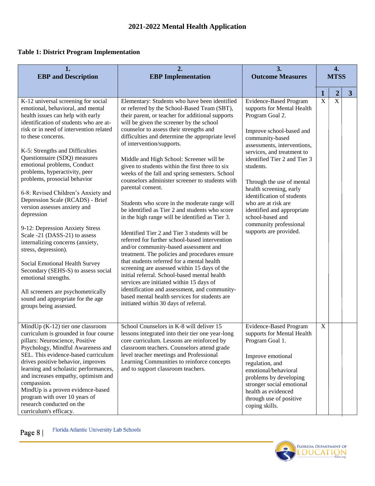# **Table 1: District Program Implementation**

| 1.<br><b>EBP</b> and Description                                                                                                                                                                                                                                                                                                                                                                                                                                                                                                                                                                                                                                                                                                                                                                                                                           | 2.<br><b>EBP</b> Implementation                                                                                                                                                                                                                                                                                                                                                                                                                                                                                                                                                                                                                                                                                                                                                                                                                                                                                                                                                                                                                                                                                                                                                                                                           | 3.<br><b>Outcome Measures</b>                                                                                                                                                                                                                                                                                                                                                                                                                              |                         | 4.<br><b>MTSS</b>       |                         |
|------------------------------------------------------------------------------------------------------------------------------------------------------------------------------------------------------------------------------------------------------------------------------------------------------------------------------------------------------------------------------------------------------------------------------------------------------------------------------------------------------------------------------------------------------------------------------------------------------------------------------------------------------------------------------------------------------------------------------------------------------------------------------------------------------------------------------------------------------------|-------------------------------------------------------------------------------------------------------------------------------------------------------------------------------------------------------------------------------------------------------------------------------------------------------------------------------------------------------------------------------------------------------------------------------------------------------------------------------------------------------------------------------------------------------------------------------------------------------------------------------------------------------------------------------------------------------------------------------------------------------------------------------------------------------------------------------------------------------------------------------------------------------------------------------------------------------------------------------------------------------------------------------------------------------------------------------------------------------------------------------------------------------------------------------------------------------------------------------------------|------------------------------------------------------------------------------------------------------------------------------------------------------------------------------------------------------------------------------------------------------------------------------------------------------------------------------------------------------------------------------------------------------------------------------------------------------------|-------------------------|-------------------------|-------------------------|
|                                                                                                                                                                                                                                                                                                                                                                                                                                                                                                                                                                                                                                                                                                                                                                                                                                                            |                                                                                                                                                                                                                                                                                                                                                                                                                                                                                                                                                                                                                                                                                                                                                                                                                                                                                                                                                                                                                                                                                                                                                                                                                                           |                                                                                                                                                                                                                                                                                                                                                                                                                                                            | $\mathbf 1$             | $\overline{2}$          | $\overline{\mathbf{3}}$ |
| K-12 universal screening for social<br>emotional, behavioral, and mental<br>health issues can help with early<br>identification of students who are at-<br>risk or in need of intervention related<br>to these concerns.<br>K-5: Strengths and Difficulties<br>Questionnaire (SDQ) measures<br>emotional problems, Conduct<br>problems, hyperactivity, peer<br>problems, prosocial behavior<br>6-8: Revised Children's Anxiety and<br>Depression Scale (RCADS) - Brief<br>version assesses anxiety and<br>depression<br>9-12: Depression Anxiety Stress<br>Scale -21 (DASS-21) to assess<br>internalizing concerns (anxiety,<br>stress, depression).<br>Social Emotional Health Survey<br>Secondary (SEHS-S) to assess social<br>emotional strengths.<br>All screeners are psychometrically<br>sound and appropriate for the age<br>groups being assessed. | Elementary: Students who have been identified<br>or referred by the School-Based Team (SBT),<br>their parent, or teacher for additional supports<br>will be given the screener by the school<br>counselor to assess their strengths and<br>difficulties and determine the appropriate level<br>of intervention/supports.<br>Middle and High School: Screener will be<br>given to students within the first three to six<br>weeks of the fall and spring semesters. School<br>counselors administer screener to students with<br>parental consent.<br>Students who score in the moderate range will<br>be identified as Tier 2 and students who score<br>in the high range will be identified as Tier 3.<br>Identified Tier 2 and Tier 3 students will be<br>referred for further school-based intervention<br>and/or community-based assessment and<br>treatment. The policies and procedures ensure<br>that students referred for a mental health<br>screening are assessed within 15 days of the<br>initial referral. School-based mental health<br>services are initiated within 15 days of<br>identification and assessment, and community-<br>based mental health services for students are<br>initiated within 30 days of referral. | <b>Evidence-Based Program</b><br>supports for Mental Health<br>Program Goal 2.<br>Improve school-based and<br>community-based<br>assessments, interventions,<br>services, and treatment to<br>identified Tier 2 and Tier 3<br>students.<br>Through the use of mental<br>health screening, early<br>identification of students<br>who are at risk are<br>identified and appropriate<br>school-based and<br>community professional<br>supports are provided. | $\overline{\mathbf{X}}$ | $\overline{\mathbf{X}}$ |                         |
| MindUp $(K-12)$ tier one classroom<br>curriculum is grounded in four course<br>pillars: Neuroscience, Positive<br>Psychology, Mindful Awareness and<br>SEL. This evidence-based curriculum<br>drives positive behavior, improves<br>learning and scholastic performances,<br>and increases empathy, optimism and<br>compassion.<br>MindUp is a proven evidence-based<br>program with over 10 years of<br>research conducted on the<br>curriculum's efficacy.                                                                                                                                                                                                                                                                                                                                                                                               | School Counselors in K-8 will deliver 15<br>lessons integrated into their tier one year-long<br>core curriculum. Lessons are reinforced by<br>classroom teachers. Counselors attend grade<br>level teacher meetings and Professional<br>Learning Communities to reinforce concepts<br>and to support classroom teachers.                                                                                                                                                                                                                                                                                                                                                                                                                                                                                                                                                                                                                                                                                                                                                                                                                                                                                                                  | <b>Evidence-Based Program</b><br>supports for Mental Health<br>Program Goal 1.<br>Improve emotional<br>regulation, and<br>emotional/behavioral<br>problems by developing<br>stronger social emotional<br>health as evidenced<br>through use of positive<br>coping skills.                                                                                                                                                                                  | $\mathbf X$             |                         |                         |

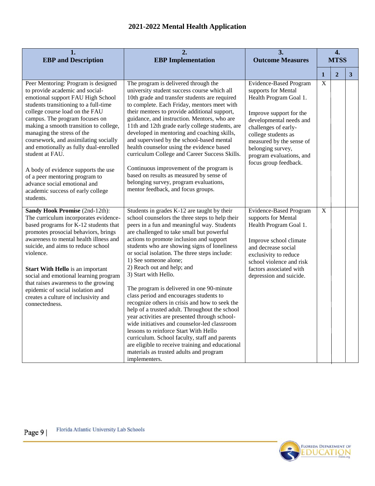| 1.<br><b>EBP</b> and Description                                                                                                                                                                                                                                                                                                                                                                                                                                                                                                                                  | 2.<br><b>EBP</b> Implementation                                                                                                                                                                                                                                                                                                                                                                                                                                                                                                                                                                                                                                                                                                                                                                                                                                                                                               | 3.<br><b>Outcome Measures</b>                                                                                                                                                                                                                                                             |              | 4.<br><b>MTSS</b> |              |
|-------------------------------------------------------------------------------------------------------------------------------------------------------------------------------------------------------------------------------------------------------------------------------------------------------------------------------------------------------------------------------------------------------------------------------------------------------------------------------------------------------------------------------------------------------------------|-------------------------------------------------------------------------------------------------------------------------------------------------------------------------------------------------------------------------------------------------------------------------------------------------------------------------------------------------------------------------------------------------------------------------------------------------------------------------------------------------------------------------------------------------------------------------------------------------------------------------------------------------------------------------------------------------------------------------------------------------------------------------------------------------------------------------------------------------------------------------------------------------------------------------------|-------------------------------------------------------------------------------------------------------------------------------------------------------------------------------------------------------------------------------------------------------------------------------------------|--------------|-------------------|--------------|
|                                                                                                                                                                                                                                                                                                                                                                                                                                                                                                                                                                   |                                                                                                                                                                                                                                                                                                                                                                                                                                                                                                                                                                                                                                                                                                                                                                                                                                                                                                                               |                                                                                                                                                                                                                                                                                           | $\mathbf{1}$ | $\overline{2}$    | $\mathbf{3}$ |
| Peer Mentoring: Program is designed<br>to provide academic and social-<br>emotional support FAU High School<br>students transitioning to a full-time<br>college course load on the FAU<br>campus. The program focuses on<br>making a smooth transition to college,<br>managing the stress of the<br>coursework, and assimilating socially<br>and emotionally as fully dual-enrolled<br>student at FAU.<br>A body of evidence supports the use<br>of a peer mentoring program to<br>advance social emotional and<br>academic success of early college<br>students. | The program is delivered through the<br>university student success course which all<br>10th grade and transfer students are required<br>to complete. Each Friday, mentors meet with<br>their mentees to provide additional support,<br>guidance, and instruction. Mentors, who are<br>11th and 12th grade early college students, are<br>developed in mentoring and coaching skills,<br>and supervised by the school-based mental<br>health counselor using the evidence based<br>curriculum College and Career Success Skills.<br>Continuous improvement of the program is<br>based on results as measured by sense of<br>belonging survey, program evaluations,<br>mentor feedback, and focus groups.                                                                                                                                                                                                                       | <b>Evidence-Based Program</b><br>supports for Mental<br>Health Program Goal 1.<br>Improve support for the<br>developmental needs and<br>challenges of early-<br>college students as<br>measured by the sense of<br>belonging survey,<br>program evaluations, and<br>focus group feedback. | $\mathbf X$  |                   |              |
| Sandy Hook Promise (2nd-12th):<br>The curriculum incorporates evidence-<br>based programs for K-12 students that<br>promotes prosocial behaviors, brings<br>awareness to mental health illness and<br>suicide, and aims to reduce school<br>violence.<br><b>Start With Hello</b> is an important<br>social and emotional learning program<br>that raises awareness to the growing<br>epidemic of social isolation and<br>creates a culture of inclusivity and<br>connectedness.                                                                                   | Students in grades K-12 are taught by their<br>school counselors the three steps to help their<br>peers in a fun and meaningful way. Students<br>are challenged to take small but powerful<br>actions to promote inclusion and support<br>students who are showing signs of loneliness<br>or social isolation. The three steps include:<br>1) See someone alone;<br>2) Reach out and help; and<br>3) Start with Hello.<br>The program is delivered in one 90-minute<br>class period and encourages students to<br>recognize others in crisis and how to seek the<br>help of a trusted adult. Throughout the school<br>year activities are presented through school-<br>wide initiatives and counselor-led classroom<br>lessons to reinforce Start With Hello<br>curriculum. School faculty, staff and parents<br>are eligible to receive training and educational<br>materials as trusted adults and program<br>implementers. | <b>Evidence-Based Program</b><br>supports for Mental<br>Health Program Goal 1.<br>Improve school climate<br>and decrease social<br>exclusivity to reduce<br>school violence and risk<br>factors associated with<br>depression and suicide.                                                | $\mathbf X$  |                   |              |

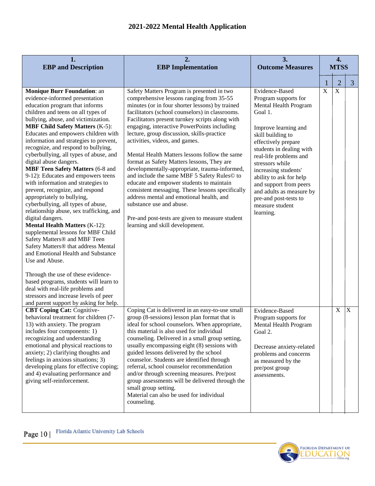| 1.<br><b>EBP</b> and Description                                                                                                                                                                                                                                                                                                                                                                                                                                                                                                                                                                                                                                                                                                                                                                                                                                                                                                                                                                                                                                                                                                                                    | 2.<br>3.<br><b>EBP</b> Implementation<br><b>Outcome Measures</b>                                                                                                                                                                                                                                                                                                                                                                                                                                                                                                                                                                                                                                                                                                                                                                            |                                                                                                                                                                                                                                                                                                                                                                                           |             | 4.<br><b>MTSS</b> |                |
|---------------------------------------------------------------------------------------------------------------------------------------------------------------------------------------------------------------------------------------------------------------------------------------------------------------------------------------------------------------------------------------------------------------------------------------------------------------------------------------------------------------------------------------------------------------------------------------------------------------------------------------------------------------------------------------------------------------------------------------------------------------------------------------------------------------------------------------------------------------------------------------------------------------------------------------------------------------------------------------------------------------------------------------------------------------------------------------------------------------------------------------------------------------------|---------------------------------------------------------------------------------------------------------------------------------------------------------------------------------------------------------------------------------------------------------------------------------------------------------------------------------------------------------------------------------------------------------------------------------------------------------------------------------------------------------------------------------------------------------------------------------------------------------------------------------------------------------------------------------------------------------------------------------------------------------------------------------------------------------------------------------------------|-------------------------------------------------------------------------------------------------------------------------------------------------------------------------------------------------------------------------------------------------------------------------------------------------------------------------------------------------------------------------------------------|-------------|-------------------|----------------|
|                                                                                                                                                                                                                                                                                                                                                                                                                                                                                                                                                                                                                                                                                                                                                                                                                                                                                                                                                                                                                                                                                                                                                                     |                                                                                                                                                                                                                                                                                                                                                                                                                                                                                                                                                                                                                                                                                                                                                                                                                                             |                                                                                                                                                                                                                                                                                                                                                                                           |             | $\overline{2}$    | $\overline{3}$ |
| <b>Monique Burr Foundation: an</b><br>evidence-informed presentation<br>education program that informs<br>children and teens on all types of<br>bullying, abuse, and victimization.<br><b>MBF Child Safety Matters (K-5):</b><br>Educates and empowers children with<br>information and strategies to prevent,<br>recognize, and respond to bullying,<br>cyberbullying, all types of abuse, and<br>digital abuse dangers.<br><b>MBF Teen Safety Matters (6-8 and</b><br>9-12): Educates and empowers teens<br>with information and strategies to<br>prevent, recognize, and respond<br>appropriately to bullying,<br>cyberbullying, all types of abuse,<br>relationship abuse, sex trafficking, and<br>digital dangers.<br><b>Mental Health Matters (K-12):</b><br>supplemental lessons for MBF Child<br>Safety Matters <sup>®</sup> and MBF Teen<br>Safety Matters <sup>®</sup> that address Mental<br>and Emotional Health and Substance<br>Use and Abuse.<br>Through the use of these evidence-<br>based programs, students will learn to<br>deal with real-life problems and<br>stressors and increase levels of peer<br>and parent support by asking for help. | Safety Matters Program is presented in two<br>comprehensive lessons ranging from 35-55<br>minutes (or in four shorter lessons) by trained<br>facilitators (school counselors) in classrooms.<br>Facilitators present turnkey scripts along with<br>engaging, interactive PowerPoints including<br>lecture, group discussion, skills-practice<br>activities, videos, and games.<br>Mental Health Matters lessons follow the same<br>format as Safety Matters lessons, They are<br>developmentally-appropriate, trauma-informed,<br>and include the same MBF 5 Safety Rules© to<br>educate and empower students to maintain<br>consistent messaging. These lessons specifically<br>address mental and emotional health, and<br>substance use and abuse.<br>Pre-and post-tests are given to measure student<br>learning and skill development. | Evidence-Based<br>Program supports for<br>Mental Health Program<br>Goal 1.<br>Improve learning and<br>skill building to<br>effectively prepare<br>students in dealing with<br>real-life problems and<br>stressors while<br>increasing students'<br>ability to ask for help<br>and support from peers<br>and adults as measure by<br>pre-and post-tests to<br>measure student<br>learning. | $\mathbf X$ | $\overline{X}$    |                |
| <b>CBT Coping Cat: Cognitive-</b><br>behavioral treatment for children (7-<br>13) with anxiety. The program<br>includes four components: 1)<br>recognizing and understanding<br>emotional and physical reactions to<br>anxiety; 2) clarifying thoughts and<br>feelings in anxious situations; 3)<br>developing plans for effective coping;<br>and 4) evaluating performance and<br>giving self-reinforcement.                                                                                                                                                                                                                                                                                                                                                                                                                                                                                                                                                                                                                                                                                                                                                       | Coping Cat is delivered in an easy-to-use small<br>group (8-sessions) lesson plan format that is<br>ideal for school counselors. When appropriate,<br>this material is also used for individual<br>counseling. Delivered in a small group setting,<br>usually encompassing eight (8) sessions with<br>guided lessons delivered by the school<br>counselor. Students are identified through<br>referral, school counselor recommendation<br>and/or through screening measures. Pre/post<br>group assessments will be delivered through the<br>small group setting.<br>Material can also be used for individual<br>counseling.                                                                                                                                                                                                                | Evidence-Based<br>Program supports for<br>Mental Health Program<br>Goal 2.<br>Decrease anxiety-related<br>problems and concerns<br>as measured by the<br>pre/post group<br>assessments.                                                                                                                                                                                                   |             | $\mathbf X$       | $\overline{X}$ |

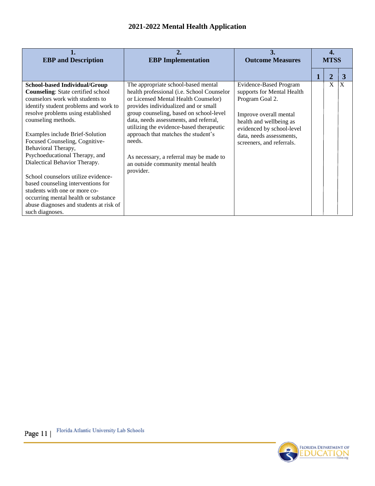| <b>EBP</b> and Description                                                                                                                                                                                                                                                                                                                                                                                                                                                                                                                                                                                     | <b>EBP</b> Implementation                                                                                                                                                                                                                                                                                                                                                                                                                         | 3.<br><b>Outcome Measures</b>                                                                                                                                                                                             | <b>MTSS</b> |   |   |
|----------------------------------------------------------------------------------------------------------------------------------------------------------------------------------------------------------------------------------------------------------------------------------------------------------------------------------------------------------------------------------------------------------------------------------------------------------------------------------------------------------------------------------------------------------------------------------------------------------------|---------------------------------------------------------------------------------------------------------------------------------------------------------------------------------------------------------------------------------------------------------------------------------------------------------------------------------------------------------------------------------------------------------------------------------------------------|---------------------------------------------------------------------------------------------------------------------------------------------------------------------------------------------------------------------------|-------------|---|---|
|                                                                                                                                                                                                                                                                                                                                                                                                                                                                                                                                                                                                                |                                                                                                                                                                                                                                                                                                                                                                                                                                                   |                                                                                                                                                                                                                           |             | 2 | 3 |
| <b>School-based Individual/Group</b><br><b>Counseling:</b> State certified school<br>counselors work with students to<br>identify student problems and work to<br>resolve problems using established<br>counseling methods.<br>Examples include Brief-Solution<br>Focused Counseling, Cognitive-<br>Behavioral Therapy,<br>Psychoeducational Therapy, and<br>Dialectical Behavior Therapy.<br>School counselors utilize evidence-<br>based counseling interventions for<br>students with one or more co-<br>occurring mental health or substance<br>abuse diagnoses and students at risk of<br>such diagnoses. | The appropriate school-based mental<br>health professional (i.e. School Counselor<br>or Licensed Mental Health Counselor)<br>provides individualized and or small<br>group counseling, based on school-level<br>data, needs assessments, and referral,<br>utilizing the evidence-based therapeutic<br>approach that matches the student's<br>needs.<br>As necessary, a referral may be made to<br>an outside community mental health<br>provider. | <b>Evidence-Based Program</b><br>supports for Mental Health<br>Program Goal 2.<br>Improve overall mental<br>health and wellbeing as<br>evidenced by school-level<br>data, needs assessments,<br>screeners, and referrals. |             | X | X |

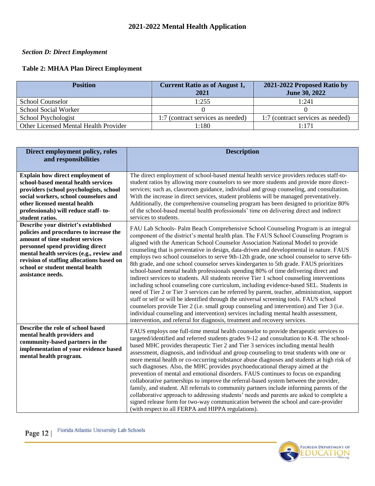# *Section D: Direct Employment*

# **Table 2: MHAA Plan Direct Employment**

| <b>Position</b>                       | <b>Current Ratio as of August 1,</b><br>2021 | 2021-2022 Proposed Ratio by<br>June 30, 2022 |
|---------------------------------------|----------------------------------------------|----------------------------------------------|
| <b>School Counselor</b>               | 1:255                                        | 1:241                                        |
| School Social Worker                  |                                              |                                              |
| School Psychologist                   | 1:7 (contract services as needed)            | 1:7 (contract services as needed)            |
| Other Licensed Mental Health Provider | 1:180-                                       | 1.171                                        |

| Direct employment policy, roles<br>and responsibilities                                                                                                                                                                                                                                                 | <b>Description</b>                                                                                                                                                                                                                                                                                                                                                                                                                                                                                                                                                                                                                                                                                                                                                                                                                                                                                                                                                                                                                                                                                                                                                                                                                                                                              |  |  |
|---------------------------------------------------------------------------------------------------------------------------------------------------------------------------------------------------------------------------------------------------------------------------------------------------------|-------------------------------------------------------------------------------------------------------------------------------------------------------------------------------------------------------------------------------------------------------------------------------------------------------------------------------------------------------------------------------------------------------------------------------------------------------------------------------------------------------------------------------------------------------------------------------------------------------------------------------------------------------------------------------------------------------------------------------------------------------------------------------------------------------------------------------------------------------------------------------------------------------------------------------------------------------------------------------------------------------------------------------------------------------------------------------------------------------------------------------------------------------------------------------------------------------------------------------------------------------------------------------------------------|--|--|
| <b>Explain how direct employment of</b><br>school-based mental health services<br>providers (school psychologists, school<br>social workers, school counselors and<br>other licensed mental health<br>professionals) will reduce staff-to-<br>student ratios.                                           | The direct employment of school-based mental health service providers reduces staff-to-<br>student ratios by allowing more counselors to see more students and provide more direct-<br>services; such as, classroom guidance, individual and group counseling, and consultation.<br>With the increase in direct services, student problems will be managed preventatively.<br>Additionally, the comprehensive counseling program has been designed to prioritize 80%<br>of the school-based mental health professionals' time on delivering direct and indirect<br>services to students.                                                                                                                                                                                                                                                                                                                                                                                                                                                                                                                                                                                                                                                                                                        |  |  |
| Describe your district's established<br>policies and procedures to increase the<br>amount of time student services<br>personnel spend providing direct<br>mental health services (e.g., review and<br>revision of staffing allocations based on<br>school or student mental health<br>assistance needs. | FAU Lab Schools- Palm Beach Comprehensive School Counseling Program is an integral<br>component of the district's mental health plan. The FAUS School Counseling Program is<br>aligned with the American School Counselor Association National Model to provide<br>counseling that is preventative in design, data-driven and developmental in nature. FAUS<br>employs two school counselors to serve 9th-12th grade, one school counselor to serve 6th-<br>8th grade, and one school counselor serves kindergarten to 5th grade. FAUS prioritizes<br>school-based mental health professionals spending 80% of time delivering direct and<br>indirect services to students. All students receive Tier 1 school counseling interventions<br>including school counseling core curriculum, including evidence-based SEL. Students in<br>need of Tier 2 or Tier 3 services can be referred by parent, teacher, administration, support<br>staff or self or will be identified through the universal screening tools. FAUS school<br>counselors provide Tier 2 (i.e. small group counseling and intervention) and Tier 3 (i.e.<br>individual counseling and intervention) services including mental health assessment,<br>intervention, and referral for diagnosis, treatment and recovery services. |  |  |
| Describe the role of school based<br>mental health providers and<br>community-based partners in the<br>implementation of your evidence based<br>mental health program.                                                                                                                                  | FAUS employs one full-time mental health counselor to provide therapeutic services to<br>targeted/identified and referred students grades 9-12 and consultation to K-8. The school-<br>based MHC provides therapeutic Tier 2 and Tier 3 services including mental health<br>assessment, diagnosis, and individual and group counseling to treat students with one or<br>more mental health or co-occurring substance abuse diagnoses and students at high risk of<br>such diagnoses. Also, the MHC provides psychoeducational therapy aimed at the<br>prevention of mental and emotional disorders. FAUS continues to focus on expanding<br>collaborative partnerships to improve the referral-based system between the provider,<br>family, and student. All referrals to community partners include informing parents of the<br>collaborative approach to addressing students' needs and parents are asked to complete a<br>signed release form for two-way communication between the school and care-provider<br>(with respect to all FERPA and HIPPA regulations).                                                                                                                                                                                                                          |  |  |

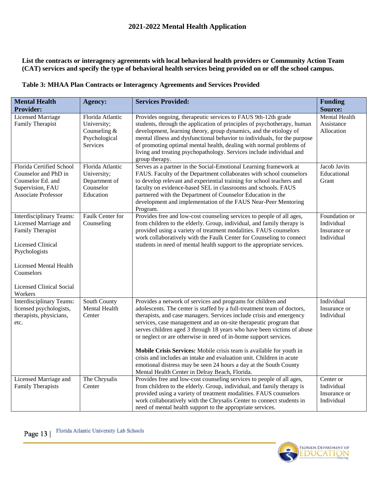## **List the contracts or interagency agreements with local behavioral health providers or Community Action Team (CAT) services and specify the type of behavioral health services being provided on or off the school campus.**

## **Table 3: MHAA Plan Contracts or Interagency Agreements and Services Provided**

| <b>Mental Health</b>                                                                                                                                                                                            | <b>Agency:</b>                                                                 | <b>Services Provided:</b>                                                                                                                                                                                                                                                                                                                                                                                                                                                                                                                                                                                                                                                                                 | <b>Funding</b>                                            |
|-----------------------------------------------------------------------------------------------------------------------------------------------------------------------------------------------------------------|--------------------------------------------------------------------------------|-----------------------------------------------------------------------------------------------------------------------------------------------------------------------------------------------------------------------------------------------------------------------------------------------------------------------------------------------------------------------------------------------------------------------------------------------------------------------------------------------------------------------------------------------------------------------------------------------------------------------------------------------------------------------------------------------------------|-----------------------------------------------------------|
| <b>Provider:</b>                                                                                                                                                                                                |                                                                                |                                                                                                                                                                                                                                                                                                                                                                                                                                                                                                                                                                                                                                                                                                           | <b>Source:</b>                                            |
| <b>Licensed Marriage</b><br>Family Therapist                                                                                                                                                                    | Florida Atlantic<br>University;<br>Counseling $&$<br>Psychological<br>Services | Provides ongoing, therapeutic services to FAUS 9th-12th grade<br>students, through the application of principles of psychotherapy, human<br>development, learning theory, group dynamics, and the etiology of<br>mental illness and dysfunctional behavior to individuals, for the purpose<br>of promoting optimal mental health, dealing with normal problems of<br>living and treating psychopathology. Services include individual and<br>group therapy.                                                                                                                                                                                                                                               | <b>Mental Health</b><br>Assistance<br>Allocation          |
| Florida Certified School<br>Counselor and PhD in<br>Counselor Ed. and<br>Supervision, FAU<br><b>Associate Professor</b>                                                                                         | Florida Atlantic<br>University;<br>Department of<br>Counselor<br>Education     | Serves as a partner in the Social-Emotional Learning framework at<br>FAUS. Faculty of the Department collaborates with school counselors<br>to develop relevant and experiential training for school teachers and<br>faculty on evidence-based SEL in classrooms and schools. FAUS<br>partnered with the Department of Counselor Education in the<br>development and implementation of the FAUS Near-Peer Mentoring<br>Program.                                                                                                                                                                                                                                                                           | <b>Jacob Javits</b><br>Educational<br>Grant               |
| Interdisciplinary Teams:<br>Licensed Marriage and<br>Family Therapist<br><b>Licensed Clinical</b><br>Psychologists<br><b>Licensed Mental Health</b><br>Counselors<br><b>Licensed Clinical Social</b><br>Workers | Faulk Center for<br>Counseling                                                 | Provides free and low-cost counseling services to people of all ages,<br>from children to the elderly. Group, individual, and family therapy is<br>provided using a variety of treatment modalities. FAUS counselors<br>work collaboratively with the Faulk Center for Counseling to connect<br>students in need of mental health support to the appropriate services.                                                                                                                                                                                                                                                                                                                                    | Foundation or<br>Individual<br>Insurance or<br>Individual |
| Interdisciplinary Teams:<br>licensed psychologists,<br>therapists, physicians,<br>etc.                                                                                                                          | South County<br>Mental Health<br>Center                                        | Provides a network of services and programs for children and<br>adolescents. The center is staffed by a full-treatment team of doctors,<br>therapists, and case managers. Services include crisis and emergency<br>services, case management and an on-site therapeutic program that<br>serves children aged 3 through 18 years who have been victims of abuse<br>or neglect or are otherwise in need of in-home support services.<br>Mobile Crisis Services: Mobile crisis team is available for youth in<br>crisis and includes an intake and evaluation unit. Children in acute<br>emotional distress may be seen 24 hours a day at the South County<br>Mental Health Center in Delray Beach, Florida. | Individual<br>Insurance or<br>Individual                  |
| Licensed Marriage and<br><b>Family Therapists</b>                                                                                                                                                               | The Chrysalis<br>Center                                                        | Provides free and low-cost counseling services to people of all ages,<br>from children to the elderly. Group, individual, and family therapy is<br>provided using a variety of treatment modalities. FAUS counselors<br>work collaboratively with the Chrysalis Center to connect students in<br>need of mental health support to the appropriate services.                                                                                                                                                                                                                                                                                                                                               | Center or<br>Individual<br>Insurance or<br>Individual     |